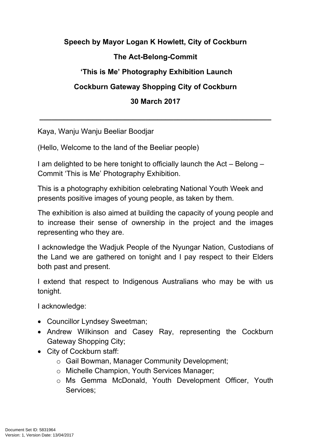## **Speech by Mayor Logan K Howlett, City of Cockburn The Act-Belong-Commit 'This is Me' Photography Exhibition Launch Cockburn Gateway Shopping City of Cockburn 30 March 2017**

**\_\_\_\_\_\_\_\_\_\_\_\_\_\_\_\_\_\_\_\_\_\_\_\_\_\_\_\_\_\_\_\_\_\_\_\_\_\_\_\_\_\_\_\_\_\_\_\_\_\_\_\_\_\_\_\_\_**

Kaya, Wanju Wanju Beeliar Boodjar

(Hello, Welcome to the land of the Beeliar people)

I am delighted to be here tonight to officially launch the Act – Belong – Commit 'This is Me' Photography Exhibition.

This is a photography exhibition celebrating National Youth Week and presents positive images of young people, as taken by them.

The exhibition is also aimed at building the capacity of young people and to increase their sense of ownership in the project and the images representing who they are.

I acknowledge the Wadjuk People of the Nyungar Nation, Custodians of the Land we are gathered on tonight and I pay respect to their Elders both past and present.

I extend that respect to Indigenous Australians who may be with us tonight.

I acknowledge:

- Councillor Lyndsey Sweetman;
- Andrew Wilkinson and Casey Ray, representing the Cockburn Gateway Shopping City;
- City of Cockburn staff:
	- o Gail Bowman, Manager Community Development;
	- o Michelle Champion, Youth Services Manager;
	- o Ms Gemma McDonald, Youth Development Officer, Youth Services;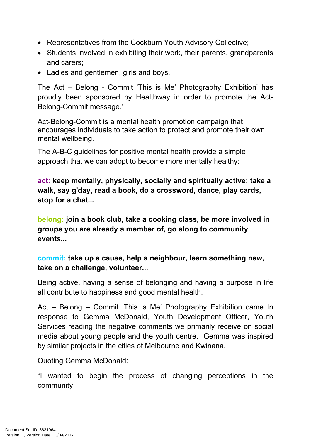- Representatives from the Cockburn Youth Advisory Collective;
- Students involved in exhibiting their work, their parents, grandparents and carers;
- Ladies and gentlemen, girls and boys.

The Act – Belong - Commit 'This is Me' Photography Exhibition' has proudly been sponsored by Healthway in order to promote the Act-Belong-Commit message.'

Act-Belong-Commit is a mental health promotion campaign that encourages individuals to take action to protect and promote their own mental wellbeing.

The A-B-C guidelines for positive mental health provide a simple approach that we can adopt to become more mentally healthy:

**act: keep mentally, physically, socially and spiritually active: take a walk, say g'day, read a book, do a crossword, dance, play cards, stop for a chat...**

**belong: join a book club, take a cooking class, be more involved in groups you are already a member of, go along to community events...**

## **commit: take up a cause, help a neighbour, learn something new, take on a challenge, volunteer...**.

Being active, having a sense of belonging and having a purpose in life all contribute to happiness and good mental health.

Act – Belong – Commit 'This is Me' Photography Exhibition came In response to Gemma McDonald, Youth Development Officer, Youth Services reading the negative comments we primarily receive on social media about young people and the youth centre. Gemma was inspired by similar projects in the cities of Melbourne and Kwinana.

Quoting Gemma McDonald:

"I wanted to begin the process of changing perceptions in the community.